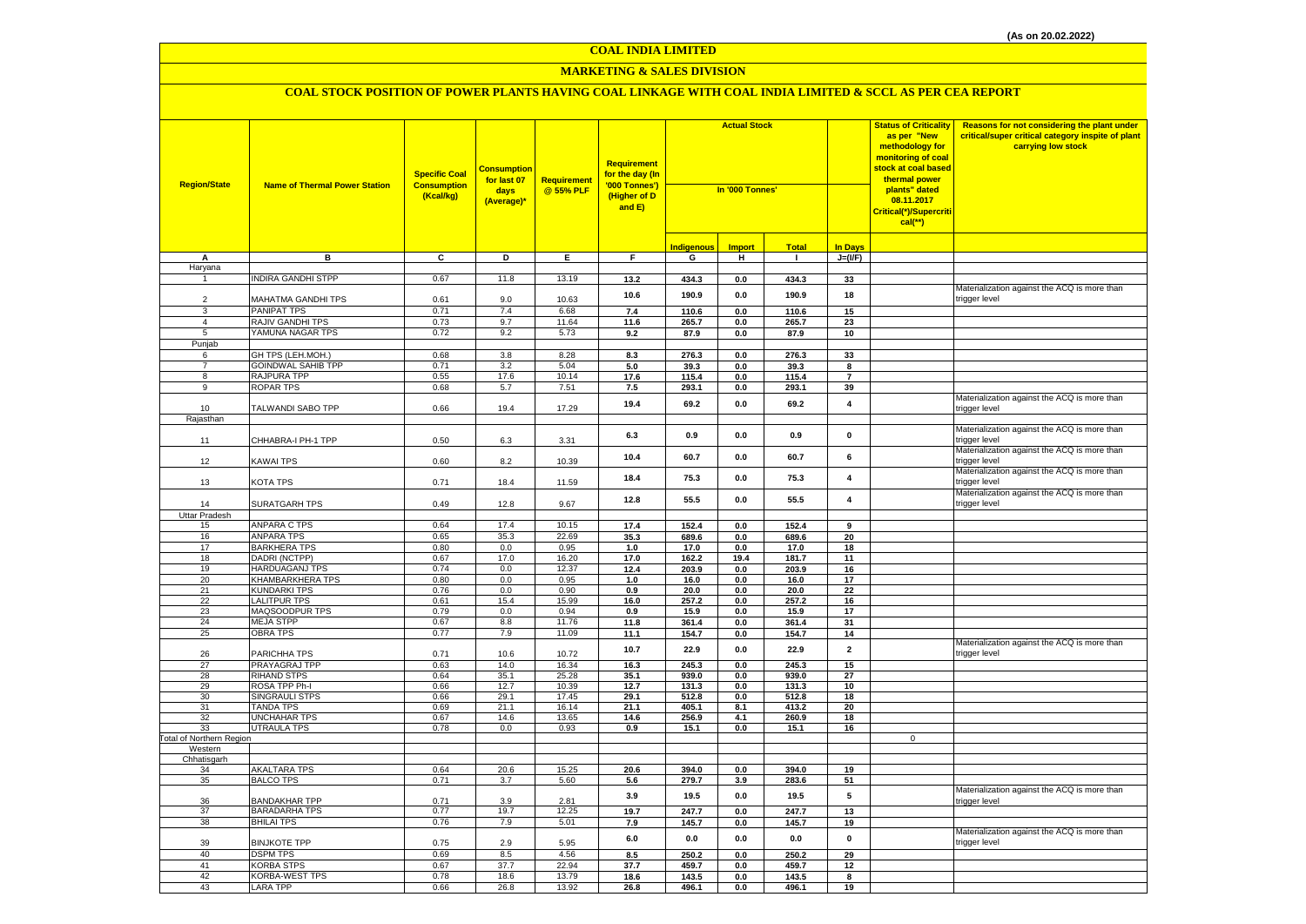#### **MARKETING & SALES DIVISION**

| <b>Region/State</b>                   | <b>Name of Thermal Power Station</b>           | <b>Specific Coal</b><br><b>Consumption</b><br>(Kcal/kg) | <b>Consumption</b><br>for last 07<br>days<br>(Average)* | <b>Requirement</b><br>@ 55% PLF | <b>Requirement</b><br>for the day (In<br>'000 Tonnes')<br>(Higher of D<br>and E) | <b>Actual Stock</b><br>In '000 Tonnes' |                |               |                         | <b>Status of Criticality</b><br>as per "New<br>methodology for<br><mark>monitoring of coal</mark><br><mark>stock at coal based</mark><br>thermal power<br>plants" dated<br>08.11.2017<br>Critical(*)/Supercriti<br>$cal$ (**) | Reasons for not considering the plant under<br>critical/super critical category inspite of plant<br>carrying low stock |
|---------------------------------------|------------------------------------------------|---------------------------------------------------------|---------------------------------------------------------|---------------------------------|----------------------------------------------------------------------------------|----------------------------------------|----------------|---------------|-------------------------|-------------------------------------------------------------------------------------------------------------------------------------------------------------------------------------------------------------------------------|------------------------------------------------------------------------------------------------------------------------|
|                                       |                                                |                                                         |                                                         |                                 |                                                                                  | Indigenou:                             | <b>Import</b>  | <b>Total</b>  | <b>In Days</b>          |                                                                                                                                                                                                                               |                                                                                                                        |
| A                                     | в                                              | $\overline{c}$                                          | Þ                                                       | E                               | F                                                                                | G                                      | Ŧ              | $\mathbf{I}$  | $J=(VF)$                |                                                                                                                                                                                                                               |                                                                                                                        |
| Haryana                               |                                                |                                                         |                                                         |                                 |                                                                                  |                                        |                |               |                         |                                                                                                                                                                                                                               |                                                                                                                        |
| $\mathbf{1}$                          | <b>INDIRA GANDHI STPP</b>                      | 0.67                                                    | 11.8                                                    | 13.19                           | 13.2                                                                             | 434.3                                  | $0.0\,$        | 434.3         | 33                      |                                                                                                                                                                                                                               |                                                                                                                        |
|                                       |                                                |                                                         |                                                         |                                 | 10.6                                                                             | 190.9                                  | $0.0\,$        | 190.9         | 18                      |                                                                                                                                                                                                                               | Materialization against the ACQ is more than                                                                           |
| $\overline{2}$                        | MAHATMA GANDHI TPS                             | 0.61                                                    | 9.0                                                     | 10.63                           |                                                                                  |                                        |                |               |                         |                                                                                                                                                                                                                               | trigger level                                                                                                          |
| 3                                     | <b>PANIPAT TPS</b>                             | 0.71                                                    | 7.4                                                     | 6.68                            | $7.4$                                                                            | 110.6                                  | $0.0\,$        | 110.6         | 15                      |                                                                                                                                                                                                                               |                                                                                                                        |
| $\overline{4}$                        | RAJIV GANDHI TPS                               | 0.73                                                    | 9.7                                                     | 11.64                           | 11.6                                                                             | 265.7                                  | 0.0            | 265.7         | 23                      |                                                                                                                                                                                                                               |                                                                                                                        |
| 5                                     | YAMUNA NAGAR TPS                               | 0.72                                                    | 9.2                                                     | 5.73                            | 9.2                                                                              | 87.9                                   | $0.0\,$        | 87.9          | 10                      |                                                                                                                                                                                                                               |                                                                                                                        |
| Punjab                                |                                                | 0.68                                                    |                                                         |                                 |                                                                                  |                                        |                |               |                         |                                                                                                                                                                                                                               |                                                                                                                        |
| 6<br>$\overline{7}$                   | GH TPS (LEH.MOH.)<br><b>GOINDWAL SAHIB TPP</b> | 0.71                                                    | 3.8<br>3.2                                              | 8.28<br>5.04                    | 8.3<br>5.0                                                                       | 276.3<br>39.3                          | 0.0<br>0.0     | 276.3<br>39.3 | 33<br>8                 |                                                                                                                                                                                                                               |                                                                                                                        |
| 8                                     | RAJPURA TPP                                    | 0.55                                                    | 17.6                                                    | 10.14                           | 17.6                                                                             | 115.4                                  | 0.0            | 115.4         | $\overline{7}$          |                                                                                                                                                                                                                               |                                                                                                                        |
| 9                                     | <b>ROPAR TPS</b>                               | 0.68                                                    | 5.7                                                     | 7.51                            | 7.5                                                                              | 293.1                                  | 0.0            | 293.1         | 39                      |                                                                                                                                                                                                                               |                                                                                                                        |
|                                       |                                                |                                                         |                                                         |                                 |                                                                                  |                                        |                |               |                         |                                                                                                                                                                                                                               | Materialization against the ACQ is more than                                                                           |
| 10                                    | TALWANDI SABO TPP                              | 0.66                                                    | 19.4                                                    | 17.29                           | 19.4                                                                             | 69.2                                   | 0.0            | 69.2          | $\overline{\mathbf{4}}$ |                                                                                                                                                                                                                               | trigger level                                                                                                          |
| Rajasthan                             |                                                |                                                         |                                                         |                                 |                                                                                  |                                        |                |               |                         |                                                                                                                                                                                                                               |                                                                                                                        |
|                                       |                                                |                                                         |                                                         |                                 |                                                                                  |                                        |                |               | $\pmb{0}$               |                                                                                                                                                                                                                               | Materialization against the ACQ is more than                                                                           |
| 11                                    | CHHABRA-I PH-1 TPP                             | 0.50                                                    | 6.3                                                     | 3.31                            | 6.3                                                                              | 0.9                                    | $0.0\,$        | 0.9           |                         |                                                                                                                                                                                                                               | rigger level                                                                                                           |
|                                       |                                                |                                                         |                                                         |                                 | 10.4                                                                             | 60.7                                   | 0.0            | 60.7          | 6                       |                                                                                                                                                                                                                               | Materialization against the ACQ is more than                                                                           |
| 12                                    | KAWAI TPS                                      | 0.60                                                    | 8.2                                                     | 10.39                           |                                                                                  |                                        |                |               |                         |                                                                                                                                                                                                                               | trigger level                                                                                                          |
|                                       |                                                |                                                         |                                                         |                                 | 18.4                                                                             | 75.3                                   | 0.0            | 75.3          | $\pmb{4}$               |                                                                                                                                                                                                                               | Materialization against the ACQ is more than                                                                           |
| 13                                    | KOTA TPS                                       | 0.71                                                    | 18.4                                                    | 11.59                           |                                                                                  |                                        |                |               |                         |                                                                                                                                                                                                                               | trigger level                                                                                                          |
| 14                                    |                                                |                                                         |                                                         | 9.67                            | 12.8                                                                             | 55.5                                   | 0.0            | 55.5          | $\overline{\mathbf{4}}$ |                                                                                                                                                                                                                               | Materialization against the ACQ is more than<br>trigger level                                                          |
| Uttar Pradesh                         | SURATGARH TPS                                  | 0.49                                                    | 12.8                                                    |                                 |                                                                                  |                                        |                |               |                         |                                                                                                                                                                                                                               |                                                                                                                        |
| 15                                    | ANPARA C TPS                                   | 0.64                                                    | 17.4                                                    | 10.15                           | 17.4                                                                             | 152.4                                  | 0.0            | 152.4         | 9                       |                                                                                                                                                                                                                               |                                                                                                                        |
| 16                                    | <b>ANPARA TPS</b>                              | 0.65                                                    | 35.3                                                    | 22.69                           | 35.3                                                                             | 689.6                                  | $0.0\,$        | 689.6         | 20                      |                                                                                                                                                                                                                               |                                                                                                                        |
| 17                                    | <b>BARKHERA TPS</b>                            | 0.80                                                    | 0.0                                                     | 0.95                            | 1.0                                                                              | 17.0                                   | 0.0            | 17.0          | 18                      |                                                                                                                                                                                                                               |                                                                                                                        |
| 18                                    | DADRI (NCTPP)                                  | 0.67                                                    | 17.0                                                    | 16.20                           | 17.0                                                                             | 162.2                                  | 19.4           | 181.7         | 11                      |                                                                                                                                                                                                                               |                                                                                                                        |
| 19                                    | HARDUAGANJ TPS                                 | 0.74                                                    | 0.0                                                     | 12.37                           | 12.4                                                                             | 203.9                                  | 0.0            | 203.9         | 16                      |                                                                                                                                                                                                                               |                                                                                                                        |
| 20                                    | KHAMBARKHERA TPS                               | 0.80                                                    | 0.0                                                     | 0.95                            | 1.0                                                                              | 16.0                                   | 0.0            | 16.0          | 17                      |                                                                                                                                                                                                                               |                                                                                                                        |
| 21                                    | <b>KUNDARKI TPS</b>                            | 0.76                                                    | 0.0                                                     | 0.90                            | 0.9                                                                              | 20.0                                   | 0.0            | 20.0          | 22                      |                                                                                                                                                                                                                               |                                                                                                                        |
| 22                                    | <b>LALITPUR TPS</b>                            | 0.61                                                    | 15.4                                                    | 15.99                           | 16.0                                                                             | 257.2                                  | 0.0            | 257.2         | 16                      |                                                                                                                                                                                                                               |                                                                                                                        |
| 23                                    | MAQSOODPUR TPS                                 | 0.79                                                    | 0.0                                                     | 0.94                            | 0.9                                                                              | 15.9                                   | $\bf 0.0$      | 15.9          | $17\,$                  |                                                                                                                                                                                                                               |                                                                                                                        |
| 24                                    | <b>MEJA STPP</b>                               | 0.67                                                    | 8.8                                                     | 11.76                           | 11.8                                                                             | 361.4                                  | 0.0            | 361.4         | 31                      |                                                                                                                                                                                                                               |                                                                                                                        |
| 25                                    | <b>OBRA TPS</b>                                | 0.77                                                    | 7.9                                                     | 11.09                           | 11.1                                                                             | 154.7                                  | 0.0            | 154.7         | 14                      |                                                                                                                                                                                                                               | Materialization against the ACQ is more than                                                                           |
| 26                                    | PARICHHA TPS                                   | 0.71                                                    | 10.6                                                    | 10.72                           | 10.7                                                                             | 22.9                                   | 0.0            | 22.9          | $\overline{2}$          |                                                                                                                                                                                                                               | trigger level                                                                                                          |
| 27                                    | PRAYAGRAJ TPP                                  | 0.63                                                    | 14.0                                                    | 16.34                           | 16.3                                                                             | 245.3                                  | 0.0            | 245.3         | 15                      |                                                                                                                                                                                                                               |                                                                                                                        |
| 28                                    | <b>RIHAND STPS</b>                             | 0.64                                                    | 35.1                                                    | 25.28                           | 35.1                                                                             | 939.0                                  | 0.0            | 939.0         | 27                      |                                                                                                                                                                                                                               |                                                                                                                        |
| 29                                    | ROSA TPP Ph-I                                  | 0.66                                                    | 12.7                                                    | 10.39                           | 12.7                                                                             | 131.3                                  | 0.0            | 131.3         | 10                      |                                                                                                                                                                                                                               |                                                                                                                        |
| 30                                    | <b>SINGRAULI STPS</b>                          | 0.66                                                    | 29.1                                                    | 17.45                           | 29.1                                                                             | 512.8                                  | 0.0            | 512.8         | 18                      |                                                                                                                                                                                                                               |                                                                                                                        |
| 31                                    | <b>TANDA TPS</b>                               | 0.69                                                    | 21.1                                                    | 16.14                           | 21.1                                                                             | 405.1                                  | 8.1            | 413.2         | 20                      |                                                                                                                                                                                                                               |                                                                                                                        |
| 32                                    | <b>UNCHAHAR TPS</b>                            | 0.67                                                    | 14.6                                                    | 13.65                           | 14.6                                                                             | 256.9                                  | 4.1            | 260.9         | 18                      |                                                                                                                                                                                                                               |                                                                                                                        |
| 33<br><b>Total of Northern Region</b> | <b>UTRAULA TPS</b>                             | 0.78                                                    | 0.0                                                     | 0.93                            | 0.9                                                                              | 15.1                                   | 0.0            | 15.1          | 16                      | 0                                                                                                                                                                                                                             |                                                                                                                        |
| Western                               |                                                |                                                         |                                                         |                                 |                                                                                  |                                        |                |               |                         |                                                                                                                                                                                                                               |                                                                                                                        |
| Chhatisgarh                           |                                                |                                                         |                                                         |                                 |                                                                                  |                                        |                |               |                         |                                                                                                                                                                                                                               |                                                                                                                        |
| 34                                    | <b>AKALTARA TPS</b>                            | 0.64                                                    | 20.6                                                    | 15.25                           | 20.6                                                                             | 394.0                                  | 0.0            | 394.0         | 19                      |                                                                                                                                                                                                                               |                                                                                                                        |
| 35                                    | <b>BALCO TPS</b>                               | 0.71                                                    | 3.7                                                     | 5.60                            | 5.6                                                                              | 279.7                                  | 3.9            | 283.6         | 51                      |                                                                                                                                                                                                                               |                                                                                                                        |
|                                       |                                                |                                                         |                                                         |                                 | 3.9                                                                              | 19.5                                   | 0.0            | 19.5          | $5\phantom{.0}$         |                                                                                                                                                                                                                               | Materialization against the ACQ is more than                                                                           |
| 36                                    | BANDAKHAR TPP                                  | 0.71                                                    | 3.9                                                     | 2.81                            |                                                                                  |                                        |                |               |                         |                                                                                                                                                                                                                               | trigger level                                                                                                          |
| 37                                    | <b>BARADARHA TPS</b>                           | 0.77                                                    | 19.7                                                    | 12.25                           | 19.7                                                                             | 247.7                                  | $0.0\,$        | 247.7         | 13                      |                                                                                                                                                                                                                               |                                                                                                                        |
| 38                                    | <b>BHILAI TPS</b>                              | 0.76                                                    | 7.9                                                     | 5.01                            | 7.9                                                                              | 145.7                                  | 0.0            | 145.7         | 19                      |                                                                                                                                                                                                                               |                                                                                                                        |
| 39                                    | <b>BINJKOTE TPP</b>                            | 0.75                                                    | 2.9                                                     | 5.95                            | 6.0                                                                              | 0.0                                    | 0.0            | 0.0           | $\pmb{0}$               |                                                                                                                                                                                                                               | Materialization against the ACQ is more than<br>trigger level                                                          |
| 40                                    | <b>DSPM TPS</b>                                | 0.69                                                    | 8.5                                                     | 4.56                            | 8.5                                                                              | 250.2                                  | 0.0            | 250.2         | 29                      |                                                                                                                                                                                                                               |                                                                                                                        |
| 41                                    | <b>KORBA STPS</b>                              | 0.67                                                    | 37.7                                                    | 22.94                           | 37.7                                                                             | 459.7                                  | 0.0            | 459.7         | 12                      |                                                                                                                                                                                                                               |                                                                                                                        |
| 42                                    | <b>KORBA-WEST TPS</b>                          | 0.78                                                    | 18.6                                                    | 13.79                           | 18.6                                                                             | 143.5                                  | $\mathbf{0.0}$ | 143.5         | 8                       |                                                                                                                                                                                                                               |                                                                                                                        |
| 43                                    | <b>LARA TPP</b>                                | 0.66                                                    | 26.8                                                    | 13.92                           | 26.8                                                                             | 496.1                                  | 0.0            | 496.1         | 19                      |                                                                                                                                                                                                                               |                                                                                                                        |
|                                       |                                                |                                                         |                                                         |                                 |                                                                                  |                                        |                |               |                         |                                                                                                                                                                                                                               |                                                                                                                        |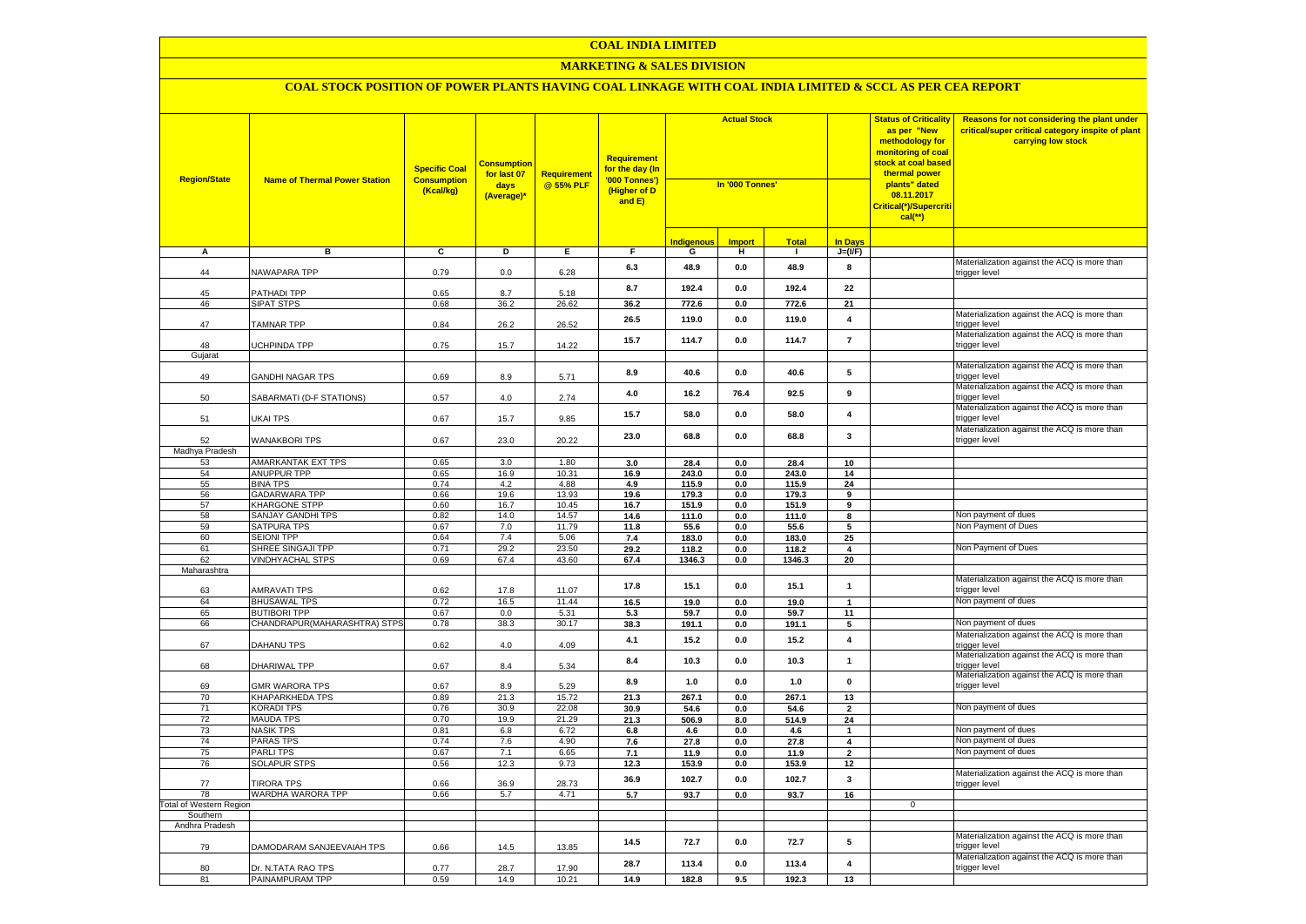## **MARKETING & SALES DIVISION**

| <b>Region/State</b>            | <b>Name of Thermal Power Station</b>    | <b>Specific Coal</b><br><b>Consumption</b><br>(Kcal/kg) | <b>Consumption</b><br>for last 07<br>days<br>(Average)* | <b>Requirement</b><br>@ 55% PLF | Requirement<br>for the day (In<br>'000 Tonnes')<br>(Higher of D<br>and E) | <b>Actual Stock</b><br>In '000 Tonnes' |               |                |                                | <b>Status of Criticality</b><br>as per "New<br>methodology for<br><mark>monitoring of coal</mark><br>stock at coal based<br>thermal power<br>plants" dated<br>08.11.2017<br>Critical(*)/Supercriti<br>$cal$ (**) | Reasons for not considering the plant under<br>critical/super critical category inspite of plant<br>carrying low stock |
|--------------------------------|-----------------------------------------|---------------------------------------------------------|---------------------------------------------------------|---------------------------------|---------------------------------------------------------------------------|----------------------------------------|---------------|----------------|--------------------------------|------------------------------------------------------------------------------------------------------------------------------------------------------------------------------------------------------------------|------------------------------------------------------------------------------------------------------------------------|
|                                |                                         |                                                         |                                                         |                                 |                                                                           | <b>Indigenous</b>                      | <b>Import</b> | <b>Total</b>   | <b>In Days</b>                 |                                                                                                                                                                                                                  |                                                                                                                        |
| A                              | в                                       | $\overline{c}$                                          | D                                                       | Ε.                              | F.                                                                        | G                                      | н.            | $\mathbf{I}$   | $J=(VF)$                       |                                                                                                                                                                                                                  |                                                                                                                        |
| 44                             | NAWAPARA TPP                            | 0.79                                                    | 0.0                                                     | 6.28                            | 6.3                                                                       | 48.9                                   | 0.0           | 48.9           | 8                              |                                                                                                                                                                                                                  | Materialization against the ACQ is more than<br>trigger level                                                          |
| 45                             | PATHADI TPP                             | 0.65                                                    | 8.7                                                     | 5.18                            | 8.7                                                                       | 192.4                                  | 0.0           | 192.4          | 22                             |                                                                                                                                                                                                                  |                                                                                                                        |
| 46                             | <b>SIPAT STPS</b>                       | 0.68                                                    | 36.2                                                    | 26.62                           | 36.2                                                                      | 772.6                                  | 0.0           | 772.6          | 21                             |                                                                                                                                                                                                                  |                                                                                                                        |
| 47                             | <b>TAMNAR TPP</b>                       | 0.84                                                    | 26.2                                                    | 26.52                           | 26.5                                                                      | 119.0                                  | 0.0           | 119.0          | 4                              |                                                                                                                                                                                                                  | Materialization against the ACQ is more than<br>trigger level                                                          |
| 48                             | UCHPINDA TPP                            | 0.75                                                    | 15.7                                                    | 14.22                           | 15.7                                                                      | 114.7                                  | 0.0           | 114.7          | $\overline{7}$                 |                                                                                                                                                                                                                  | Materialization against the ACQ is more than<br>trigger level                                                          |
| Gujarat                        |                                         |                                                         |                                                         |                                 |                                                                           |                                        |               |                |                                |                                                                                                                                                                                                                  | Materialization against the ACQ is more than                                                                           |
| 49                             | GANDHI NAGAR TPS                        | 0.69                                                    | 8.9                                                     | 5.71                            | 8.9                                                                       | 40.6                                   | 0.0           | 40.6           | ${\bf 5}$                      |                                                                                                                                                                                                                  | trigger level                                                                                                          |
| 50                             | SABARMATI (D-F STATIONS)                | 0.57                                                    | 4.0                                                     | 2.74                            | 4.0                                                                       | 16.2                                   | 76.4          | 92.5           | 9                              |                                                                                                                                                                                                                  | Materialization against the ACQ is more than<br>trigger level                                                          |
| 51                             | UKAI TPS                                | 0.67                                                    | 15.7                                                    | 9.85                            | 15.7                                                                      | 58.0                                   | 0.0           | 58.0           | 4                              |                                                                                                                                                                                                                  | Materialization against the ACQ is more than<br>trigger level                                                          |
| 52                             | <b>WANAKBORI TPS</b>                    | 0.67                                                    | 23.0                                                    | 20.22                           | 23.0                                                                      | 68.8                                   | 0.0           | 68.8           | $\mathbf{3}$                   |                                                                                                                                                                                                                  | Materialization against the ACQ is more than<br>trigger level                                                          |
| Madhya Pradesh                 |                                         |                                                         |                                                         |                                 |                                                                           |                                        |               |                |                                |                                                                                                                                                                                                                  |                                                                                                                        |
| 53                             | <b>AMARKANTAK EXT TPS</b>               | 0.65                                                    | 3.0                                                     | 1.80                            | 3.0                                                                       | 28.4                                   | 0.0           | 28.4           | 10                             |                                                                                                                                                                                                                  |                                                                                                                        |
| 54                             | <b>ANUPPUR TPP</b>                      | 0.65                                                    | 16.9                                                    | 10.31                           | 16.9                                                                      | 243.0                                  | 0.0           | 243.0          | 14                             |                                                                                                                                                                                                                  |                                                                                                                        |
| 55<br>56                       | <b>BINA TPS</b><br><b>GADARWARA TPP</b> | 0.74<br>0.66                                            | 4.2<br>19.6                                             | 4.88<br>13.93                   | 4.9<br>19.6                                                               | 115.9<br>179.3                         | 0.0<br>0.0    | 115.9<br>179.3 | 24<br>9                        |                                                                                                                                                                                                                  |                                                                                                                        |
| 57                             | <b>KHARGONE STPP</b>                    | 0.60                                                    | 16.7                                                    | 10.45                           | 16.7                                                                      | 151.9                                  | 0.0           | 151.9          | 9                              |                                                                                                                                                                                                                  |                                                                                                                        |
| 58                             | <b>SANJAY GANDHI TPS</b>                | 0.82                                                    | 14.0                                                    | 14.57                           | 14.6                                                                      | 111.0                                  | 0.0           | 111.0          | 8                              |                                                                                                                                                                                                                  | Non payment of dues                                                                                                    |
| 59                             | <b>SATPURA TPS</b>                      | 0.67                                                    | 7.0                                                     | 11.79                           | 11.8                                                                      | 55.6                                   | 0.0           | 55.6           | 5                              |                                                                                                                                                                                                                  | Non Payment of Dues                                                                                                    |
| 60                             | <b>SEIONI TPP</b>                       | 0.64                                                    | 7.4                                                     | 5.06                            | 7.4                                                                       | 183.0                                  | 0.0           | 183.0          | 25                             |                                                                                                                                                                                                                  |                                                                                                                        |
| 61                             | SHREE SINGAJI TPP                       | 0.71                                                    | 29.2                                                    | 23.50                           | 29.2                                                                      | 118.2                                  | 0.0           | 118.2          | 4                              |                                                                                                                                                                                                                  | Non Payment of Dues                                                                                                    |
| 62                             | <b>VINDHYACHAL STPS</b>                 | 0.69                                                    | 67.4                                                    | 43.60                           | 67.4                                                                      | 1346.3                                 | 0.0           | 1346.3         | 20                             |                                                                                                                                                                                                                  |                                                                                                                        |
| Maharashtra                    |                                         |                                                         |                                                         |                                 |                                                                           |                                        |               |                |                                |                                                                                                                                                                                                                  |                                                                                                                        |
| 63                             | <b>AMRAVATI TPS</b>                     | 0.62                                                    | 17.8                                                    | 11.07                           | 17.8                                                                      | 15.1                                   | 0.0           | 15.1           | $\mathbf{1}$                   |                                                                                                                                                                                                                  | Materialization against the ACQ is more than<br>trigger level                                                          |
| 64                             | <b>BHUSAWAL TPS</b>                     | 0.72                                                    | 16.5                                                    | 11.44                           | 16.5                                                                      | 19.0                                   | 0.0           | 19.0           | $\mathbf{1}$                   |                                                                                                                                                                                                                  | Non payment of dues                                                                                                    |
| 65                             | <b>BUTIBORI TPP</b>                     | 0.67                                                    | 0.0                                                     | 5.31                            | 5.3                                                                       | 59.7                                   | 0.0           | 59.7           | 11                             |                                                                                                                                                                                                                  |                                                                                                                        |
| 66                             | CHANDRAPUR(MAHARASHTRA) STPS            | 0.78                                                    | 38.3                                                    | 30.17                           | 38.3                                                                      | 191.1                                  | 0.0           | 191.1          | 5                              |                                                                                                                                                                                                                  | Non payment of dues                                                                                                    |
| 67                             | DAHANU TPS                              | 0.62                                                    | 4.0                                                     | 4.09                            | 4.1                                                                       | 15.2                                   | $0.0\,$       | 15.2           | $\pmb{4}$                      |                                                                                                                                                                                                                  | Materialization against the ACQ is more than<br>trigger level                                                          |
| 68                             | DHARIWAL TPP                            | 0.67                                                    | 8.4                                                     | 5.34                            | 8.4                                                                       | 10.3                                   | 0.0           | 10.3           | $\mathbf{1}$                   |                                                                                                                                                                                                                  | Materialization against the ACQ is more than<br>trigger level                                                          |
| 69                             | GMR WARORA TPS                          | 0.67                                                    | 8.9                                                     | 5.29                            | 8.9                                                                       | 1.0                                    | $0.0\,$       | $1.0$          | $\pmb{0}$                      |                                                                                                                                                                                                                  | Materialization against the ACQ is more than<br>trigger level                                                          |
| 70                             | <b>KHAPARKHEDA TPS</b>                  | 0.89                                                    | 21.3                                                    | 15.72                           | 21.3                                                                      | 267.1                                  | 0.0           | 267.1          | 13                             |                                                                                                                                                                                                                  |                                                                                                                        |
| 71                             | <b>KORADI TPS</b>                       | 0.76                                                    | 30.9                                                    | 22.08                           | 30.9                                                                      | 54.6                                   | 0.0           | 54.6           | $\overline{\mathbf{2}}$        |                                                                                                                                                                                                                  | Non payment of dues                                                                                                    |
| 72                             | <b>MAUDA TPS</b>                        | 0.70                                                    | 19.9                                                    | 21.29                           | 21.3                                                                      | 506.9                                  | 8.0           | 514.9          | 24                             |                                                                                                                                                                                                                  | Non payment of dues                                                                                                    |
| 73<br>74                       | <b>NASIK TPS</b><br><b>PARAS TPS</b>    | 0.81<br>0.74                                            | 6.8<br>7.6                                              | 6.72<br>4.90                    | 6.8                                                                       | 4.6<br>27.8                            | $0.0\,$       | 4.6<br>27.8    | $\mathbf{1}$<br>$\overline{4}$ |                                                                                                                                                                                                                  | Non payment of dues                                                                                                    |
| 75                             | <b>PARLITPS</b>                         | 0.67                                                    | 7.1                                                     | 6.65                            | 7.6<br>7.1                                                                | 11.9                                   | 0.0<br>0.0    | 11.9           | $\overline{\mathbf{2}}$        |                                                                                                                                                                                                                  | Non payment of dues                                                                                                    |
| 76                             | SOLAPUR STPS                            | 0.56                                                    | 12.3                                                    | 9.73                            | 12.3                                                                      | 153.9                                  | 0.0           | 153.9          | 12                             |                                                                                                                                                                                                                  |                                                                                                                        |
| 77                             | <b>TIRORA TPS</b>                       | 0.66                                                    | 36.9                                                    | 28.73                           | 36.9                                                                      | 102.7                                  | 0.0           | 102.7          | $\overline{\mathbf{3}}$        |                                                                                                                                                                                                                  | Materialization against the ACQ is more than<br>trigger level                                                          |
| 78                             | WARDHA WARORA TPP                       | 0.66                                                    | 5.7                                                     | 4.71                            | 5.7                                                                       | 93.7                                   | 0.0           | 93.7           | 16                             |                                                                                                                                                                                                                  |                                                                                                                        |
| <b>Total of Western Region</b> |                                         |                                                         |                                                         |                                 |                                                                           |                                        |               |                |                                | 0                                                                                                                                                                                                                |                                                                                                                        |
| Southern                       |                                         |                                                         |                                                         |                                 |                                                                           |                                        |               |                |                                |                                                                                                                                                                                                                  |                                                                                                                        |
| Andhra Pradesh                 |                                         |                                                         |                                                         |                                 |                                                                           |                                        |               |                |                                |                                                                                                                                                                                                                  |                                                                                                                        |
| 79                             | DAMODARAM SANJEEVAIAH TPS               | 0.66                                                    | 14.5                                                    | 13.85                           | 14.5                                                                      | 72.7                                   | 0.0           | 72.7           | 5                              |                                                                                                                                                                                                                  | Materialization against the ACQ is more than<br>rigger level                                                           |
| 80                             | Dr. N.TATA RAO TPS                      | 0.77                                                    | 28.7                                                    | 17.90                           | 28.7                                                                      | 113.4                                  | 0.0           | 113.4          | $\pmb{4}$                      |                                                                                                                                                                                                                  | Materialization against the ACQ is more than<br>trigger level                                                          |
| 81                             | PAINAMPURAM TPP                         | 0.59                                                    | 14.9                                                    | 10.21                           | 14.9                                                                      | 182.8                                  | 9.5           | 192.3          | 13                             |                                                                                                                                                                                                                  |                                                                                                                        |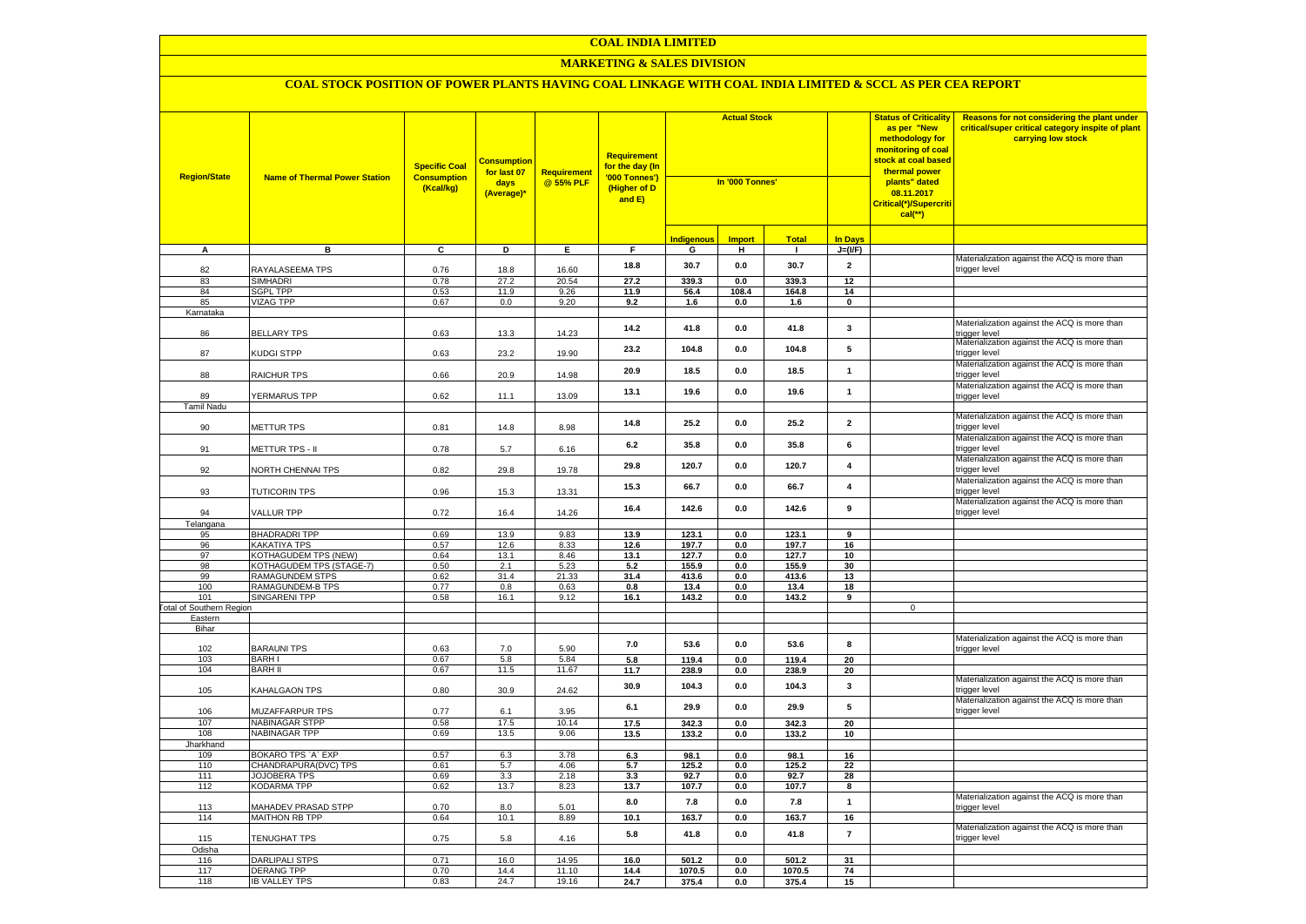#### **MARKETING & SALES DIVISION**

| <b>Region/State</b>             | <b>Name of Thermal Power Station</b>       | <b>Specific Coal</b><br><b>Consumption</b><br>(Kcal/kg) | <b>Consumption</b><br>for last 07<br>days<br>(Average)* | <b>Requirement</b><br>@ 55% PLF | <b>Requirement</b><br>for the day (In<br>'000 Tonnes')<br>(Higher of D<br>and E) | <b>Actual Stock</b><br>In '000 Tonnes' |                                  |                 |                         | <b>Status of Criticality</b><br>as per "New<br>methodology for<br>monitoring of coal<br><mark>stock at coal based</mark><br>thermal power<br>plants" dated<br>08.11.2017<br>Critical(*)/Supercriti<br>$cal$ (**) | Reasons for not considering the plant under<br>critical/super critical category inspite of plant<br>carrying low stock |
|---------------------------------|--------------------------------------------|---------------------------------------------------------|---------------------------------------------------------|---------------------------------|----------------------------------------------------------------------------------|----------------------------------------|----------------------------------|-----------------|-------------------------|------------------------------------------------------------------------------------------------------------------------------------------------------------------------------------------------------------------|------------------------------------------------------------------------------------------------------------------------|
|                                 |                                            |                                                         |                                                         |                                 |                                                                                  | Indigenous                             | <b>Import</b>                    | <b>Total</b>    | <b>In Days</b>          |                                                                                                                                                                                                                  |                                                                                                                        |
| A                               | в                                          | C                                                       | D                                                       | Е.                              | F.                                                                               | G                                      | н                                | $\mathbf{I}$    | $J=(VF)$                |                                                                                                                                                                                                                  |                                                                                                                        |
| 82                              | RAYALASEEMA TPS                            | 0.76                                                    | 18.8                                                    | 16.60                           | 18.8                                                                             | 30.7                                   | 0.0                              | 30.7            | $\overline{2}$          |                                                                                                                                                                                                                  | Materialization against the ACQ is more than<br>trigger level                                                          |
| 83                              | <b>SIMHADRI</b>                            | 0.78                                                    | 27.2                                                    | 20.54                           | 27.2                                                                             | 339.3                                  | 0.0                              | 339.3           | 12                      |                                                                                                                                                                                                                  |                                                                                                                        |
| 84                              | <b>SGPL TPP</b>                            | 0.53                                                    | 11.9                                                    | 9.26                            | 11.9                                                                             | 56.4                                   | 108.4                            | 164.8           | 14                      |                                                                                                                                                                                                                  |                                                                                                                        |
| 85                              | VIZAG TPP                                  | 0.67                                                    | 0.0                                                     | 9.20                            | 9.2                                                                              | 1.6                                    | 0.0                              | 1.6             | $\mathbf 0$             |                                                                                                                                                                                                                  |                                                                                                                        |
| Karnataka<br>86                 | <b>BELLARY TPS</b>                         | 0.63                                                    | 13.3                                                    | 14.23                           | 14.2                                                                             | 41.8                                   | $0.0\,$                          | 41.8            | $\mathbf{3}$            |                                                                                                                                                                                                                  | Materialization against the ACQ is more than<br>trigger level                                                          |
| 87                              | KUDGI STPP                                 | 0.63                                                    | 23.2                                                    | 19.90                           | 23.2                                                                             | 104.8                                  | 0.0                              | 104.8           | 5                       |                                                                                                                                                                                                                  | Materialization against the ACQ is more than<br>trigger level                                                          |
| 88                              | RAICHUR TPS                                | 0.66                                                    | 20.9                                                    | 14.98                           | 20.9                                                                             | 18.5                                   | 0.0                              | 18.5            | $\mathbf{1}$            |                                                                                                                                                                                                                  | Materialization against the ACQ is more than<br>trigger level                                                          |
| 89                              | YERMARUS TPP                               | 0.62                                                    | 11.1                                                    | 13.09                           | 13.1                                                                             | 19.6                                   | 0.0                              | 19.6            | $\mathbf{1}$            |                                                                                                                                                                                                                  | Materialization against the ACQ is more than<br>trigger level                                                          |
| Tamil Nadu                      |                                            |                                                         |                                                         |                                 |                                                                                  |                                        |                                  |                 |                         |                                                                                                                                                                                                                  | Materialization against the ACQ is more than                                                                           |
| 90                              | METTUR TPS                                 | 0.81                                                    | 14.8                                                    | 8.98                            | 14.8                                                                             | 25.2                                   | 0.0                              | 25.2            | $\overline{\mathbf{2}}$ |                                                                                                                                                                                                                  | trigger level<br>Materialization against the ACQ is more than                                                          |
| 91                              | METTUR TPS - II                            | 0.78                                                    | 5.7                                                     | 6.16                            | 6.2                                                                              | 35.8                                   | 0.0                              | 35.8            | 6                       |                                                                                                                                                                                                                  | rigger level<br>Materialization against the ACQ is more than                                                           |
| 92                              | NORTH CHENNAI TPS                          | 0.82                                                    | 29.8                                                    | 19.78                           | 29.8                                                                             | 120.7                                  | 0.0                              | 120.7           | $\pmb{4}$               |                                                                                                                                                                                                                  | rigger level<br>Materialization against the ACQ is more than                                                           |
| 93                              | <b>TUTICORIN TPS</b>                       | 0.96                                                    | 15.3                                                    | 13.31                           | 15.3                                                                             | 66.7                                   | 0.0                              | 66.7            | $\overline{\mathbf{4}}$ |                                                                                                                                                                                                                  | rigger level                                                                                                           |
| 94                              | VALLUR TPP                                 | 0.72                                                    | 16.4                                                    | 14.26                           | 16.4                                                                             | 142.6                                  | 0.0                              | 142.6           | 9                       |                                                                                                                                                                                                                  | Materialization against the ACQ is more than<br>rigger level                                                           |
| Telangana<br>95                 | <b>BHADRADRI TPP</b>                       | 0.69                                                    | 13.9                                                    | 9.83                            | 13.9                                                                             | 123.1                                  | 0.0                              | 123.1           | 9                       |                                                                                                                                                                                                                  |                                                                                                                        |
| 96                              | KAKATIYA TPS                               | 0.57                                                    | 12.6                                                    | 8.33                            | 12.6                                                                             | 197.7                                  | 0.0                              | 197.7           | 16                      |                                                                                                                                                                                                                  |                                                                                                                        |
| 97                              | <b>KOTHAGUDEM TPS (NEW)</b>                | 0.64                                                    | 13.1                                                    | 8.46                            | 13.1                                                                             | 127.7                                  | 0.0                              | 127.7           | 10                      |                                                                                                                                                                                                                  |                                                                                                                        |
| 98                              | KOTHAGUDEM TPS (STAGE-7)                   | 0.50                                                    | 2.1                                                     | 5.23                            | 5.2                                                                              | 155.9                                  | 0.0                              | 155.9           | 30                      |                                                                                                                                                                                                                  |                                                                                                                        |
| 99                              | RAMAGUNDEM STPS                            | 0.62                                                    | 31.4                                                    | 21.33                           | 31.4                                                                             | 413.6                                  | 0.0                              | 413.6           | 13                      |                                                                                                                                                                                                                  |                                                                                                                        |
| 100                             | RAMAGUNDEM-B TPS                           | 0.77                                                    | 0.8                                                     | 0.63                            | 0.8                                                                              | 13.4                                   | 0.0                              | 13.4            | 18                      |                                                                                                                                                                                                                  |                                                                                                                        |
| 101                             | <b>SINGARENI TPP</b>                       | 0.58                                                    | 16.1                                                    | 9.12                            | 16.1                                                                             | 143.2                                  | 0.0                              | 143.2           | 9                       |                                                                                                                                                                                                                  |                                                                                                                        |
| <b>Fotal of Southern Region</b> |                                            |                                                         |                                                         |                                 |                                                                                  |                                        |                                  |                 |                         | $\mathsf{O}\xspace$                                                                                                                                                                                              |                                                                                                                        |
| Eastern<br>Bihar                |                                            |                                                         |                                                         |                                 |                                                                                  |                                        |                                  |                 |                         |                                                                                                                                                                                                                  |                                                                                                                        |
|                                 |                                            |                                                         |                                                         |                                 | 7.0                                                                              | 53.6                                   | 0.0                              | 53.6            | 8                       |                                                                                                                                                                                                                  | Materialization against the ACQ is more than                                                                           |
| 102<br>103                      | <b>BARAUNI TPS</b><br><b>BARHI</b>         | 0.63<br>0.67                                            | 7.0<br>5.8                                              | 5.90<br>5.84                    | 5.8                                                                              | 119.4                                  | 0.0                              | 119.4           | 20                      |                                                                                                                                                                                                                  | rigger level                                                                                                           |
| 104                             | <b>BARH II</b>                             | 0.67                                                    | 11.5                                                    | 11.67                           | 11.7                                                                             | 238.9                                  | 0.0                              | 238.9           | 20                      |                                                                                                                                                                                                                  |                                                                                                                        |
| 105                             | KAHALGAON TPS                              | 0.80                                                    | 30.9                                                    | 24.62                           | 30.9                                                                             | 104.3                                  | 0.0                              | 104.3           | $\mathbf{3}$            |                                                                                                                                                                                                                  | Materialization against the ACQ is more than<br>rigger level                                                           |
| 106                             | <b>MUZAFFARPUR TPS</b>                     | 0.77                                                    | 6.1                                                     | 3.95                            | 6.1                                                                              | 29.9                                   | 0.0                              | 29.9            | 5                       |                                                                                                                                                                                                                  | Materialization against the ACQ is more than<br>rigger level                                                           |
| 107                             | NABINAGAR STPP                             | 0.58                                                    | 17.5                                                    | 10.14                           | 17.5                                                                             | 342.3                                  | 0.0                              | 342.3           | 20                      |                                                                                                                                                                                                                  |                                                                                                                        |
| 108                             | NABINAGAR TPP                              | 0.69                                                    | 13.5                                                    | 9.06                            | 13.5                                                                             | 133.2                                  | 0.0                              | 133.2           | 10                      |                                                                                                                                                                                                                  |                                                                                                                        |
| Jharkhand<br>109                | BOKARO TPS `A` EXP                         | 0.57                                                    | 6.3                                                     | 3.78                            | 6.3                                                                              | 98.1                                   | 0.0                              | 98.1            | 16                      |                                                                                                                                                                                                                  |                                                                                                                        |
| 110                             | CHANDRAPURA(DVC) TPS                       | 0.61                                                    | 5.7                                                     | 4.06                            | 5.7                                                                              | 125.2                                  | 0.0                              | 125.2           | 22                      |                                                                                                                                                                                                                  |                                                                                                                        |
| 111                             | JOJOBERA TPS                               | 0.69                                                    | 3.3                                                     | 2.18                            | 3.3                                                                              | 92.7                                   | 0.0                              | 92.7            | 28                      |                                                                                                                                                                                                                  |                                                                                                                        |
| 112                             | KODARMA TPP                                | 0.62                                                    | 13.7                                                    | 8.23                            | 13.7                                                                             | 107.7                                  | 0.0                              | 107.7           | 8                       |                                                                                                                                                                                                                  |                                                                                                                        |
| 113                             | <b>MAHADEV PRASAD STPP</b>                 | 0.70                                                    | 8.0                                                     | 5.01                            | 8.0                                                                              | 7.8                                    | 0.0                              | 7.8             | $\mathbf{1}$            |                                                                                                                                                                                                                  | Materialization against the ACQ is more than<br>rigger level                                                           |
| 114                             | MAITHON RB TPP                             | 0.64                                                    | 10.1                                                    | 8.89                            | 10.1                                                                             | 163.7                                  | 0.0                              | 163.7           | 16                      |                                                                                                                                                                                                                  |                                                                                                                        |
| 115                             | TENUGHAT TPS                               | 0.75                                                    | 5.8                                                     | 4.16                            | 5.8                                                                              | 41.8                                   | 0.0                              | 41.8            | $\overline{7}$          |                                                                                                                                                                                                                  | Materialization against the ACQ is more than<br>trigger level                                                          |
| Odisha                          |                                            |                                                         |                                                         |                                 |                                                                                  |                                        |                                  |                 |                         |                                                                                                                                                                                                                  |                                                                                                                        |
| 116<br>117                      | <b>DARLIPALI STPS</b><br><b>DERANG TPP</b> | 0.71<br>0.70                                            | 16.0<br>14.4                                            | 14.95<br>11.10                  | 16.0<br>14.4                                                                     | 501.2<br>1070.5                        | $\mathbf{0.0}$<br>$\mathbf{0.0}$ | 501.2<br>1070.5 | 31<br>74                |                                                                                                                                                                                                                  |                                                                                                                        |
| 118                             | <b>IB VALLEY TPS</b>                       | 0.83                                                    | 24.7                                                    | 19.16                           | 24.7                                                                             | 375.4                                  | 0.0                              | 375.4           | 15                      |                                                                                                                                                                                                                  |                                                                                                                        |